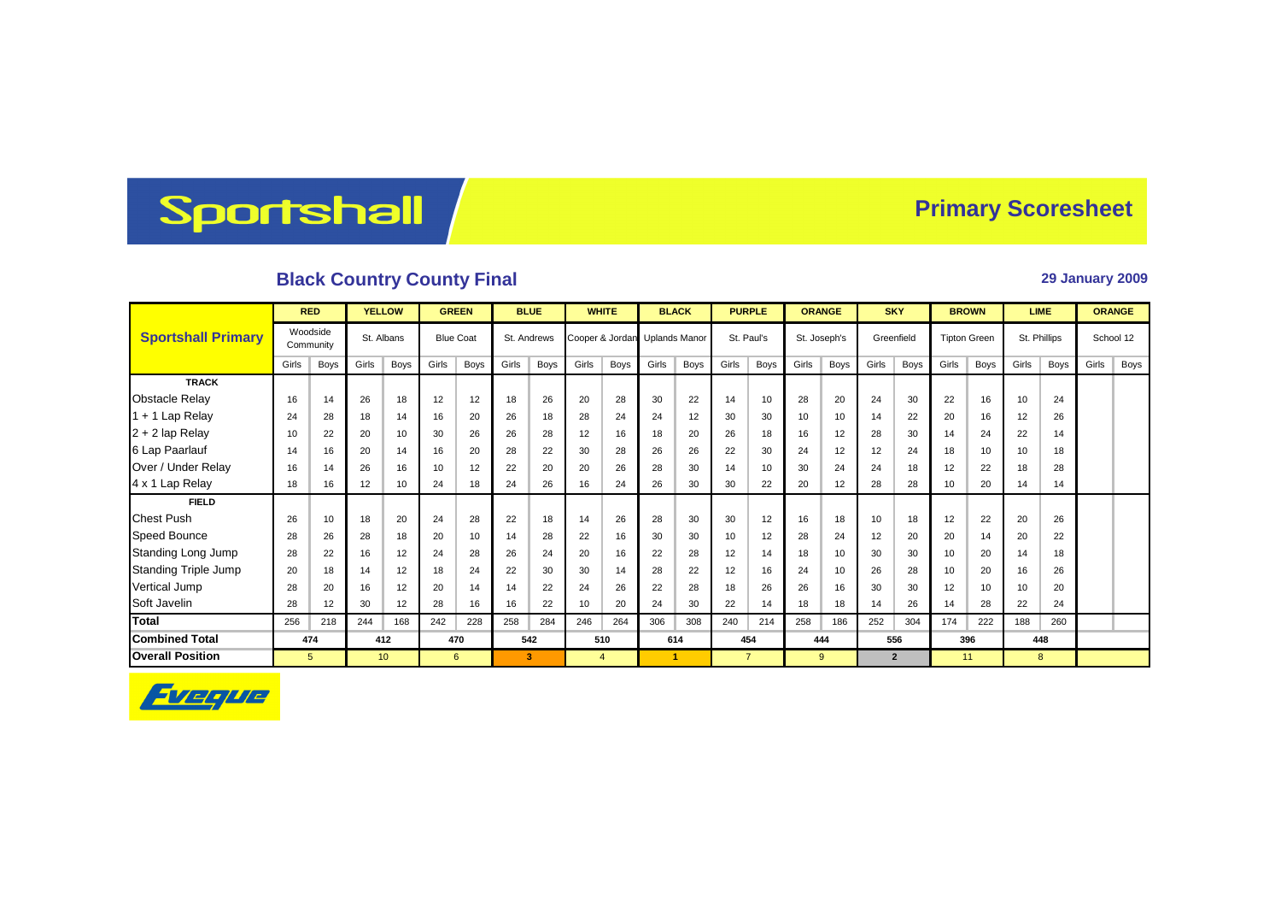## Sportshall

## **Primary Scoresheet**

## **Black Country County Final 29 January 2009**

|                             | <b>RED</b>            |             | <b>YELLOW</b> |                 | <b>GREEN</b>     |      | <b>BLUE</b> |      | <b>WHITE</b>                  |                | <b>BLACK</b> |                      | <b>PURPLE</b> |                | <b>ORANGE</b> |             | <b>SKY</b> |                | <b>BROWN</b>        |             | <b>LIME</b>  |      | <b>ORANGE</b> |      |
|-----------------------------|-----------------------|-------------|---------------|-----------------|------------------|------|-------------|------|-------------------------------|----------------|--------------|----------------------|---------------|----------------|---------------|-------------|------------|----------------|---------------------|-------------|--------------|------|---------------|------|
| <b>Sportshall Primary</b>   | Woodside<br>Community |             | St. Albans    |                 | <b>Blue Coat</b> |      | St. Andrews |      | Cooper & Jordan Uplands Manor |                |              |                      | St. Paul's    |                | St. Joseph's  |             | Greenfield |                | <b>Tipton Green</b> |             | St. Phillips |      | School 12     |      |
|                             | Girls                 | Boys        | Girls         | Boys            | Girls            | Boys | Girls       | Boys | Girls                         | <b>Boys</b>    | Girls        | <b>Boys</b>          | Girls         | Boys           | Girls         | Boys        | Girls      | Boys           | Girls               | <b>Boys</b> | Girls        | Boys | Girls         | Boys |
| <b>TRACK</b>                |                       |             |               |                 |                  |      |             |      |                               |                |              |                      |               |                |               |             |            |                |                     |             |              |      |               |      |
| <b>Obstacle Relay</b>       | 16                    | 14          | 26            | 18              | 12               | 12   | 18          | 26   | 20                            | 28             | 30           | 22                   | 14            | 10             | 28            | 20          | 24         | 30             | 22                  | 16          | 10           | 24   |               |      |
| $1 + 1$ Lap Relay           | 24                    | 28          | 18            | 14              | 16               | 20   | 26          | 18   | 28                            | 24             | 24           | 12                   | 30            | 30             | 10            | 10          | 14         | 22             | 20                  | 16          | 12           | 26   |               |      |
| $2 + 2$ lap Relay           | 10                    | 22          | 20            | 10              | 30               | 26   | 26          | 28   | 12                            | 16             | 18           | 20                   | 26            | 18             | 16            | 12          | 28         | 30             | 14                  | 24          | 22           | 14   |               |      |
| 6 Lap Paarlauf              | 14                    | 16          | 20            | 14              | 16               | 20   | 28          | 22   | 30                            | 28             | 26           | 26                   | 22            | 30             | 24            | 12          | 12         | 24             | 18                  | 10          | 10           | 18   |               |      |
| Over / Under Relay          | 16                    | 14          | 26            | 16              | 10               | 12   | 22          | 20   | 20                            | 26             | 28           | 30                   | 14            | 10             | 30            | 24          | 24         | 18             | 12                  | 22          | 18           | 28   |               |      |
| 4 x 1 Lap Relay             | 18                    | 16          | 12            | 10              | 24               | 18   | 24          | 26   | 16                            | 24             | 26           | 30                   | 30            | 22             | 20            | 12          | 28         | 28             | 10                  | 20          | 14           | 14   |               |      |
| <b>FIELD</b>                |                       |             |               |                 |                  |      |             |      |                               |                |              |                      |               |                |               |             |            |                |                     |             |              |      |               |      |
| <b>Chest Push</b>           | 26                    | 10          | 18            | 20              | 24               | 28   | 22          | 18   | 14                            | 26             | 28           | 30                   | 30            | 12             | 16            | 18          | 10         | 18             | 12                  | 22          | 20           | 26   |               |      |
| Speed Bounce                | 28                    | 26          | 28            | 18              | 20               | 10   | 14          | 28   | 22                            | 16             | 30           | 30                   | 10            | 12             | 28            | 24          | 12         | 20             | 20                  | 14          | 20           | 22   |               |      |
| Standing Long Jump          | 28                    | 22          | 16            | 12              | 24               | 28   | 26          | 24   | 20                            | 16             | 22           | 28                   | 12            | 14             | 18            | 10          | 30         | 30             | 10                  | 20          | 14           | 18   |               |      |
| <b>Standing Triple Jump</b> | 20                    | 18          | 14            | 12              | 18               | 24   | 22          | 30   | 30                            | 14             | 28           | 22                   | 12            | 16             | 24            | 10          | 26         | 28             | 10                  | 20          | 16           | 26   |               |      |
| Vertical Jump               | 28                    | 20          | 16            | 12              | 20               | 14   | 14          | 22   | 24                            | 26             | 22           | 28                   | 18            | 26             | 26            | 16          | 30         | 30             | 12                  | 10          | 10           | 20   |               |      |
| Soft Javelin                | 28                    | 12          | 30            | 12              | 28               | 16   | 16          | 22   | 10                            | 20             | 24           | 30                   | 22            | 14             | 18            | 18          | 14         | 26             | 14                  | 28          | 22           | 24   |               |      |
| <b>Total</b>                | 256                   | 218         | 244           | 168             | 242              | 228  | 258         | 284  | 246                           | 264            | 306          | 308                  | 240           | 214            | 258           | 186         | 252        | 304            | 174                 | 222         | 188          | 260  |               |      |
| <b>Combined Total</b>       |                       | 474         |               | 412             |                  | 470  |             | 542  |                               | 510            |              | 614                  |               | 454            |               | 444         |            | 556            |                     | 396         |              | 448  |               |      |
| <b>Overall Position</b>     |                       | $5^{\circ}$ |               | 10 <sup>°</sup> |                  | 6    |             | 3    |                               | $\overline{4}$ |              | $\blacktriangleleft$ |               | $\overline{7}$ |               | $9^{\circ}$ |            | $\overline{2}$ |                     | 11          |              | 8    |               |      |

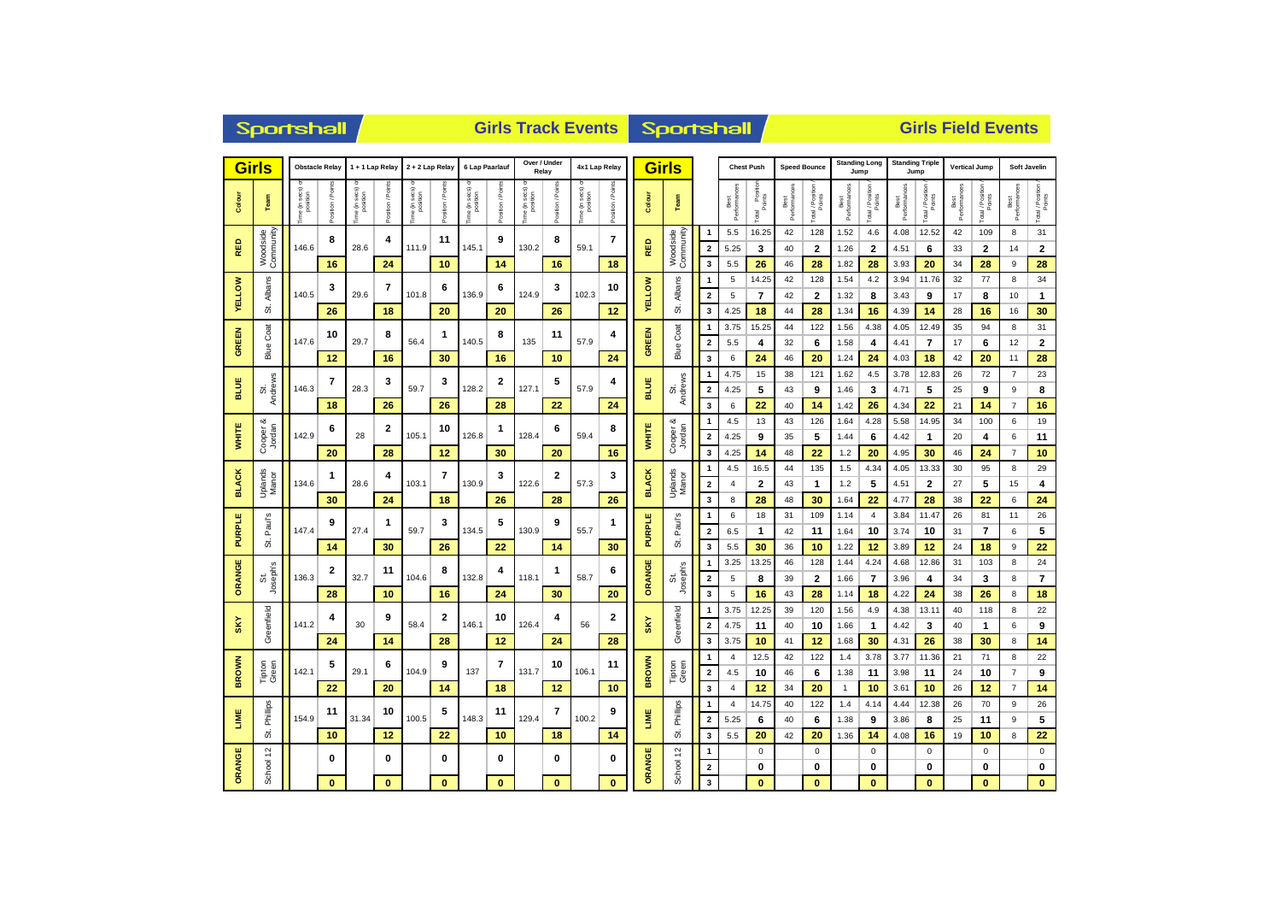| <b>Girls</b>                            |                       | <b>Obstacle Relay</b>      |                 | 1 + 1 Lap Relay         |                | 2 + 2 Lap Relay           |                | 6 Lap Paarlauf          |                 | Over / Under<br>Relay    |                  | 4x1 Lap Relay            |                  |               | <b>Girls</b>          |                         |                      | <b>Chest Push</b>             | <b>Speed Bounce</b>  |                  | Jump                 | <b>Standing Long</b> | <b>Standing Triple</b><br>Jump |                         | <b>Vertical Jump</b> |                            | Soft Javelin         |                         |  |
|-----------------------------------------|-----------------------|----------------------------|-----------------|-------------------------|----------------|---------------------------|----------------|-------------------------|-----------------|--------------------------|------------------|--------------------------|------------------|---------------|-----------------------|-------------------------|----------------------|-------------------------------|----------------------|------------------|----------------------|----------------------|--------------------------------|-------------------------|----------------------|----------------------------|----------------------|-------------------------|--|
| Colour                                  | Team                  | e (in secs) or<br>position | osition / Point | e (in secs)<br>position | Position / Poi | e (in secs) <<br>position | osition / Poin | sec s)<br>position<br>€ | osition / Point | ie (in secs)<br>position | Position / Point | ie (in secs)<br>position | Position / Point | Colour        | Team                  |                         | Best<br>Performances | l Position<br>Points<br>Total | Performances<br>Best | Total / Position | Best<br>Performances | Total / Position     | Best<br>Performances           | Total / Position        | Best<br>Performances | Total / Position<br>Points | Performances<br>Best | Total / Position        |  |
|                                         |                       |                            | 8               | 4<br>28.6               |                |                           | 11             |                         | 9               | 130.2                    | 8                |                          | 7                |               | Woodside<br>Community | $\overline{1}$          | 5.5                  | 16.25                         | 42                   | 128              | 1.52                 | 4.6                  | 4.08                           | 12.52                   | 42                   | 109                        | 8                    | 31                      |  |
| RED                                     | Community<br>Woodside | 146.6                      |                 |                         |                | 111.9                     |                | 145.1                   |                 |                          |                  | 59.1                     |                  | RED           |                       | $\overline{\mathbf{2}}$ | 5.25                 | 3                             | 40                   | 2                | 1.26                 | 2                    | 4.51                           | 6                       | 33                   | 2                          | 14                   | $\mathbf{2}$            |  |
|                                         |                       |                            | 16              |                         | 24             |                           | 10             |                         | 14              |                          | 16               |                          | 18               |               |                       | 3                       | 5.5                  | 26                            | 46                   | 28               | 1.82                 | 28                   | 3.93                           | 20                      | 34                   | 28                         | 9                    | 28                      |  |
|                                         |                       |                            | 3               |                         | 7              |                           | 6              |                         | 6               |                          | 3                |                          | 10               |               | Albans                | $\mathbf{1}$            | 5                    | 14.25                         | 42                   | 128              | 1.54                 | 4.2                  | 3.94                           | 11.76                   | 32                   | 77                         | 8                    | 34                      |  |
| <b>ELLOW</b>                            | Albans                | 140.5                      |                 | 29.6                    |                | 101.8                     |                | 136.9                   |                 | 124.9                    |                  | 102.3                    |                  | <b>YELLOW</b> |                       | $\overline{\mathbf{2}}$ | 5                    | 7                             | 42                   | 2                | 1.32                 | 8                    | 3.43                           | 9                       | 17                   | 8                          | 10                   | $\mathbf{1}$            |  |
| ×                                       | ö                     |                            | 26              |                         | 18             |                           | 20             |                         | 20              |                          | 26               |                          | 12               |               | 5                     | 3                       | 4.25                 | 18                            | 44                   | 28               | 1.34                 | 16                   | 4.39                           | 14                      | 28                   | 16                         | 16                   | 30                      |  |
| 긺                                       | Coat                  |                            | 10              | 8                       |                | 1                         |                | 8                       |                 | 11                       |                  | 4                        |                  | Coat          | $\overline{1}$        | 3.75                    | 15.25                | 44                            | 122                  | 1.56             | 4.38                 | 4.05                 | 12.49                          | 35                      | 94                   | 8                          | 31                   |                         |  |
| GREI                                    | Blue                  | 147.6                      |                 | 29.7                    |                | 56.4                      |                | 140.5                   |                 | 135                      |                  | 57.9                     |                  | GREEN         | Blue                  | $\overline{\mathbf{2}}$ | 5.5                  | 4                             | 32                   | 6                | 1.58                 | 4                    | 4.41                           | 7                       | 17                   | 6                          | 12                   | $\mathbf 2$             |  |
|                                         |                       |                            | 12              |                         | 16             |                           | 30             |                         | 16              |                          | 10               |                          | 24               |               |                       | 3                       | 6                    | 24                            | 46                   | 20               | 1.24                 | 24                   | 4.03                           | 18                      | 42                   | 20                         | 11                   | 28                      |  |
|                                         |                       |                            | 7               |                         | 3              | 59.7                      | 3              |                         | 2               |                          | 5                |                          | 4                |               |                       | $\overline{\mathbf{1}}$ | 4.75                 | 15                            | 38                   | 121              | 1.62                 | 4.5                  | 3.78                           | 12.83                   | 26                   | 72                         | $\overline{7}$       | 23                      |  |
| <b>BLUE</b>                             | Andrews<br>ō          | 146.3                      |                 | 28.3                    |                |                           |                | 128.2                   |                 | 127.1                    |                  | 57.9                     |                  | <b>BLUE</b>   | St.<br>Andrews        | $\overline{\mathbf{2}}$ | 4.25                 | 5                             | 43                   | 9                | 1.46                 | 3                    | 4.71                           | 5                       | 25                   | 9                          | 9                    | 8                       |  |
|                                         |                       |                            | 18              |                         | 26             |                           | 26             |                         | 28              |                          | 22               |                          | 24               |               |                       | 3                       | 6                    | 22                            | 40                   | 14               | 1.42                 | 26                   | 4.34                           | 22                      | 21                   | 14                         | $\overline{7}$       | 16                      |  |
| య<br><b>WHITE</b><br>Cooper &<br>Jordan |                       |                            | 6               |                         | 2              |                           | 10             |                         | 1               |                          | 6                |                          | 8                |               | య                     | $\overline{1}$          | 4.5                  | 13                            | 43                   | 126              | 1.64                 | 4.28                 | 5.58                           | 14.95                   | 34                   | 100                        | 6                    | 19                      |  |
|                                         |                       | 142.9                      |                 | 28                      |                | 105.1                     |                | 126.8                   |                 | 128.4                    |                  | 59.4                     |                  | <b>WHITE</b>  | Cooper &<br>Jordan    | $\mathbf 2$             | 4.25                 | 9                             | 35                   | 5                | 1.44                 | 6                    | 4.42                           | $\mathbf{1}$            | 20                   | 4                          | 6                    | 11                      |  |
|                                         |                       |                            | 20              |                         | 28             |                           | 12             |                         | 30              |                          | 20               |                          | 16               |               |                       | 3                       | 4.25                 | 14                            | 48                   | 22               | 1.2                  | 20                   | 4.95                           | 30                      | 46                   | 24                         | $\overline{7}$       | 10                      |  |
|                                         |                       |                            | $\mathbf 1$     |                         | 4              |                           | 7              |                         | 3               |                          | 2                |                          | 3                |               |                       | $\overline{\mathbf{1}}$ | 4.5                  | 16.5                          | 44                   | 135              | 1.5                  | 4.34                 | 4.05                           | 13.33                   | 30                   | 95                         | 8                    | 29                      |  |
| <b>BLACK</b>                            | Uplands<br>Manor      | 134.6                      |                 | 28.6                    |                | 103.1                     |                | 130.9                   |                 | 122.6                    |                  | 57.3                     |                  | <b>BLACK</b>  | Uplands<br>Manor      | $\mathbf 2$             | 4                    | $\mathbf{2}$                  | 43                   | 1                | 1.2                  | 5                    | 4.51                           | $\overline{\mathbf{2}}$ | 27                   | 5                          | 15                   | 4                       |  |
|                                         |                       |                            | 30              |                         | 24             |                           | 18             |                         | 26              |                          | 28               |                          | 26               |               |                       | $\overline{\mathbf{3}}$ | 8                    | 28                            | 48                   | 30               | 1.64                 | 22                   | 4.77                           | 28                      | 38                   | 22                         | 6                    | 24                      |  |
| щ                                       | Paul's                |                            | 9               |                         | 1              |                           | 3              |                         | 5               |                          | 9                |                          | 1                |               | Paul's                | $\overline{1}$          | 6                    | 18                            | 31                   | 109              | 1.14                 | $\overline{4}$       | 3.84                           | 11.47                   | 26                   | 81                         | 11                   | 26                      |  |
| PURPI                                   |                       | 147.4                      |                 | 27.4                    |                | 59.7                      |                | 134.5                   |                 | 130.9                    |                  | 55.7                     |                  | <b>PURPLE</b> |                       | $\overline{2}$          | 6.5                  | $\mathbf{1}$                  | 42                   | 11               | 1.64                 | 10                   | 3.74                           | 10                      | 31                   | 7                          | 6                    | 5                       |  |
|                                         | 5                     |                            | 14              |                         | 30             |                           | 26             |                         | 22              |                          | 14               |                          | 30               |               | 5                     | 3                       | 5.5                  | 30                            | 36                   | 10               | 1.22                 | 12                   | 3.89                           | 12                      | 24                   | 18                         | 9                    | 22                      |  |
|                                         |                       |                            | $\mathbf{2}$    |                         | 11             | 104.6                     | 8              | 132.8                   | 4               | 118.1                    | 1                | 58.7                     | 6<br>20          | ORANGE        | St.<br>Joseph's       | -1                      | 3.25                 | 13.25                         | 46                   | 128              | 1.44                 | 4.24                 | 4.68                           | 12.86                   | 31                   | 103                        | 8                    | 24                      |  |
| ORANGE                                  | Joseph's<br>ö         | 136.3                      |                 | 32.7                    |                |                           |                |                         |                 |                          |                  |                          |                  |               |                       | $\overline{\mathbf{2}}$ | 5                    | 8                             | 39                   | $\mathbf{2}$     | 1.66                 | $\overline{7}$       | 3.96                           | 4                       | 34                   | 3                          | 8                    | $\overline{\mathbf{r}}$ |  |
|                                         |                       |                            | 28              |                         | 10             |                           | 16             |                         | 24              |                          | 30               |                          |                  |               |                       | $\overline{\mathbf{3}}$ | 5                    | 16                            | 43                   | 28               | 1.14                 | 18                   | 4.22                           | 24                      | 38                   | 26                         | 8                    | 18                      |  |
|                                         |                       |                            | 4               |                         | 9              |                           | $\overline{2}$ |                         | 10              |                          | 4                |                          | 2                |               | Greenfield            | -1                      | 3.75                 | 12.25                         | 39                   | 120              | 1.56                 | 4.9                  | 4.38                           | 13.11                   | 40                   | 118                        | 8                    | 22                      |  |
| $S_K$                                   | Greenfield            | 141.2                      |                 | 30                      |                | 58.4                      |                | 146.1                   |                 | 126.4                    |                  | 56                       |                  | SKY           |                       | $\overline{\mathbf{2}}$ | 4.75                 | 11                            | 40                   | 10               | 1.66                 | $\mathbf{1}$         | 4.42                           | 3                       | 40                   | $\mathbf{1}$               | 6                    | 9                       |  |
|                                         |                       |                            | 24              |                         | 14             |                           | 28             |                         | 12              |                          | 24               |                          | 28               |               |                       | 3                       | 3.75                 | 10                            | 41                   | 12               | 1.68                 | 30                   | 4.31                           | 26                      | 38                   | 30                         | 8                    | 14                      |  |
|                                         |                       |                            | 5               |                         | 6              |                           | 9              |                         | 7               |                          | 10               |                          | 11               |               |                       | $\overline{\mathbf{1}}$ | 4                    | 12.5                          | 42                   | 122              | 1.4                  | 3.78                 | 3.77                           | 11.36                   | 21                   | 71                         | 8                    | 22                      |  |
| <b>BROWN</b>                            | Tipton<br>Green       | 142.1                      |                 | 29.1                    |                | 104.9                     |                | 137                     |                 | 131.7                    |                  | 106.1                    |                  | <b>BROWN</b>  | Tipton<br>Green       | $\overline{\mathbf{2}}$ | 4.5                  | 10                            | 46                   | 6                | 1.38                 | 11                   | 3.98                           | 11                      | 24                   | 10                         | $\overline{7}$       | 9                       |  |
|                                         |                       |                            | 22              |                         | 20             |                           | 14             |                         | 18              |                          | 12               |                          | 10               |               |                       | 3                       | $\overline{4}$       | 12                            | 34                   | 20               | $\mathbf{1}$         | 10                   | 3.61                           | 10                      | 26                   | 12                         | $\overline{7}$       | 14                      |  |
| ш<br>š                                  | Phillips              |                            | 11              |                         | 10             |                           | 5              |                         | 11              |                          | 7                |                          | 9                |               | Phillips              | $\overline{1}$          | 4                    | 14.75                         | 40                   | 122              | 1.4                  | 4.14                 | 4.44                           | 12.38                   | 26                   | 70                         | 9                    | 26                      |  |
|                                         |                       | 154.9                      |                 | 31.34                   |                | 100.5                     |                | 148.3                   |                 | 129.4                    |                  | 100.2                    |                  | LIME          |                       | $\overline{\mathbf{2}}$ | 5.25                 | 6                             | 40                   | 6                | 1.38                 | 9                    | 3.86                           | 8                       | 25                   | 11                         | 9                    | 5                       |  |
|                                         | ö                     |                            | 10              | 12                      |                | 22                        |                | 10                      |                 | 18                       |                  | 14                       |                  | 5             | 3                     | 5.5                     | 20                   | 42                            | 20                   | 1.36             | 14                   | 4.08                 | 16                             | 19                      | 10                   | 8                          | 22                   |                         |  |
|                                         | 5,                    |                            | 0               |                         | 0              |                           | 0              |                         | 0               |                          | 0                |                          | 0                |               |                       | $\overline{1}$          |                      | $\mathbf 0$                   |                      | $\mathsf 0$      |                      | $\mathsf 0$          |                                | $\mathsf 0$             |                      | $\mathbf 0$                |                      | $\pmb{0}$               |  |
| ORANGE                                  | School                |                            |                 |                         |                |                           |                |                         |                 |                          |                  |                          |                  | ORANGE        | School 12             | $\overline{\mathbf{2}}$ |                      | 0                             |                      | $\bf{0}$         |                      | 0                    |                                | 0                       |                      | 0                          |                      | 0                       |  |
|                                         |                       |                            | $\bf{0}$        |                         | $\bf{0}$       |                           | $\bf{0}$       |                         | $\bf{0}$        |                          | $\bf{0}$         |                          | $\bf{0}$         |               |                       | $\overline{\mathbf{3}}$ |                      | $\bf{0}$                      |                      | $\bf{0}$         |                      | $\bf{0}$             |                                | $\bf{0}$                |                      | $\bf{0}$                   |                      | $\bf{0}$                |  |

Sportshall

**Girls Track Events Girls Field Events**